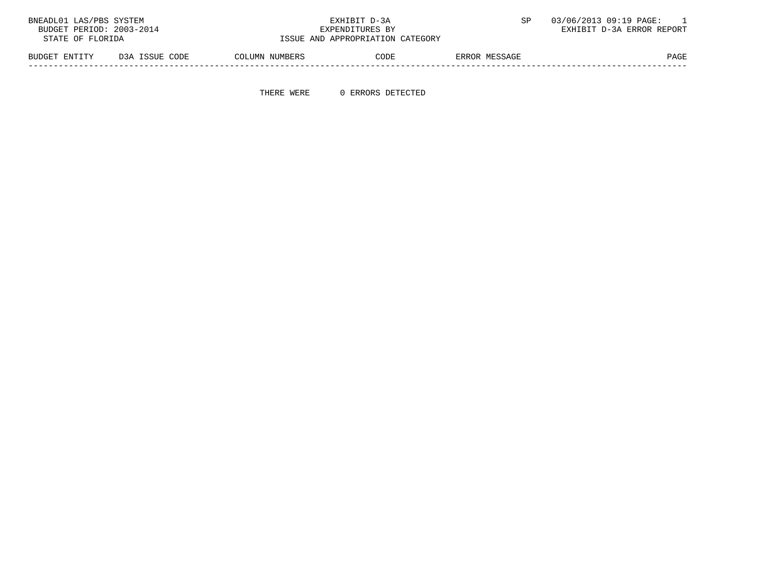| BNEADL01 LAS/PBS SYSTEM  |                |                                  | EXHIBIT D-3A    |               | 03/06/2013 09:19 PAGE:    |
|--------------------------|----------------|----------------------------------|-----------------|---------------|---------------------------|
| BUDGET PERIOD: 2003-2014 |                |                                  | EXPENDITURES BY |               | EXHIBIT D-3A ERROR REPORT |
| STATE OF FLORIDA         |                | ISSUE AND APPROPRIATION CATEGORY |                 |               |                           |
| BUDGET ENTITY            | D3A ISSUE CODE | COLUMN NUMBERS                   | CODE            | ERROR MESSAGE | PAGE                      |

THERE WERE 0 ERRORS DETECTED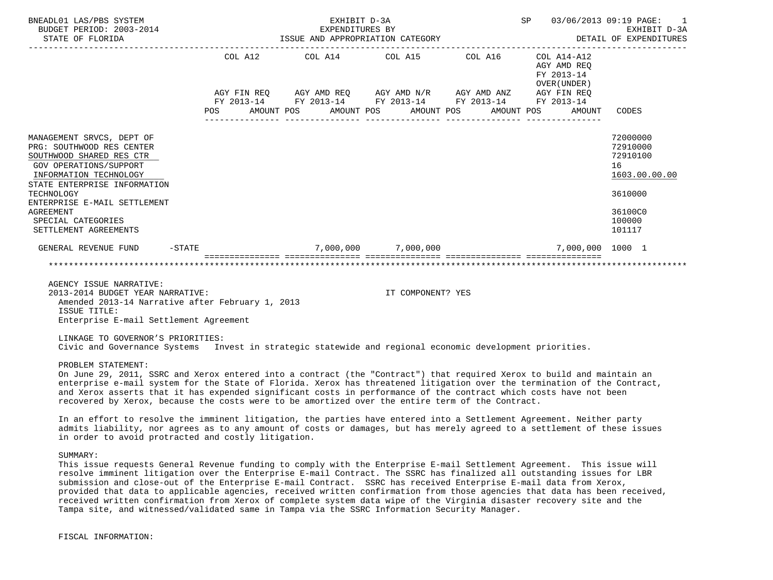| BNEADL01 LAS/PBS SYSTEM<br>BUDGET PERIOD: 2003-2014<br>STATE OF FLORIDA                                                                                                                                                                                                                        |  |                         | EXHIBIT D-3A |                   | EXPENDITURES BY<br>ISSUE AND APPROPRIATION CATEGORY                                                                    | SP |                                                          | 03/06/2013 09:19 PAGE:<br>EXHIBIT D-3A<br>DETAIL OF EXPENDITURES                                  |
|------------------------------------------------------------------------------------------------------------------------------------------------------------------------------------------------------------------------------------------------------------------------------------------------|--|-------------------------|--------------|-------------------|------------------------------------------------------------------------------------------------------------------------|----|----------------------------------------------------------|---------------------------------------------------------------------------------------------------|
|                                                                                                                                                                                                                                                                                                |  |                         |              |                   | COL A12 COL A14 COL A15 COL A16                                                                                        |    | COL A14-A12<br>AGY AMD REO<br>FY 2013-14<br>OVER (UNDER) |                                                                                                   |
|                                                                                                                                                                                                                                                                                                |  |                         |              |                   | AGY FIN REQ AGY AMD REQ AGY AMD N/R AGY AMD ANZ AGY FIN REQ                                                            |    |                                                          |                                                                                                   |
|                                                                                                                                                                                                                                                                                                |  |                         |              |                   | FY 2013-14 FY 2013-14 FY 2013-14 FY 2013-14 FY 2013-14<br>POS AMOUNT POS AMOUNT POS AMOUNT POS AMOUNT POS AMOUNT CODES |    |                                                          |                                                                                                   |
|                                                                                                                                                                                                                                                                                                |  |                         |              |                   |                                                                                                                        |    |                                                          |                                                                                                   |
| MANAGEMENT SRVCS, DEPT OF<br>PRG: SOUTHWOOD RES CENTER<br>SOUTHWOOD SHARED RES CTR<br><b>GOV OPERATIONS/SUPPORT</b><br>INFORMATION TECHNOLOGY<br>STATE ENTERPRISE INFORMATION<br>TECHNOLOGY<br>ENTERPRISE E-MAIL SETTLEMENT<br><b>AGREEMENT</b><br>SPECIAL CATEGORIES<br>SETTLEMENT AGREEMENTS |  |                         |              |                   |                                                                                                                        |    |                                                          | 72000000<br>72910000<br>72910100<br>16<br>1603.00.00.00<br>3610000<br>36100C0<br>100000<br>101117 |
| $-STATE$<br>GENERAL REVENUE FUND                                                                                                                                                                                                                                                               |  | $7.000.000$ $7.000.000$ |              |                   |                                                                                                                        |    | 7,000,000 1000 1                                         |                                                                                                   |
|                                                                                                                                                                                                                                                                                                |  |                         |              |                   |                                                                                                                        |    |                                                          |                                                                                                   |
| AGENCY ISSUE NARRATIVE:<br>2013-2014 BUDGET YEAR NARRATIVE:<br>Amended 2013-14 Narrative after February 1, 2013                                                                                                                                                                                |  |                         |              | IT COMPONENT? YES |                                                                                                                        |    |                                                          |                                                                                                   |

 ISSUE TITLE: Enterprise E-mail Settlement Agreement

 LINKAGE TO GOVERNOR'S PRIORITIES: Civic and Governance Systems Invest in strategic statewide and regional economic development priorities.

PROBLEM STATEMENT:

 On June 29, 2011, SSRC and Xerox entered into a contract (the "Contract") that required Xerox to build and maintain an enterprise e-mail system for the State of Florida. Xerox has threatened litigation over the termination of the Contract, and Xerox asserts that it has expended significant costs in performance of the contract which costs have not been recovered by Xerox, because the costs were to be amortized over the entire term of the Contract.

 In an effort to resolve the imminent litigation, the parties have entered into a Settlement Agreement. Neither party admits liability, nor agrees as to any amount of costs or damages, but has merely agreed to a settlement of these issues in order to avoid protracted and costly litigation.

SUMMARY:

 This issue requests General Revenue funding to comply with the Enterprise E-mail Settlement Agreement. This issue will resolve imminent litigation over the Enterprise E-mail Contract. The SSRC has finalized all outstanding issues for LBR submission and close-out of the Enterprise E-mail Contract. SSRC has received Enterprise E-mail data from Xerox, provided that data to applicable agencies, received written confirmation from those agencies that data has been received, received written confirmation from Xerox of complete system data wipe of the Virginia disaster recovery site and the Tampa site, and witnessed/validated same in Tampa via the SSRC Information Security Manager.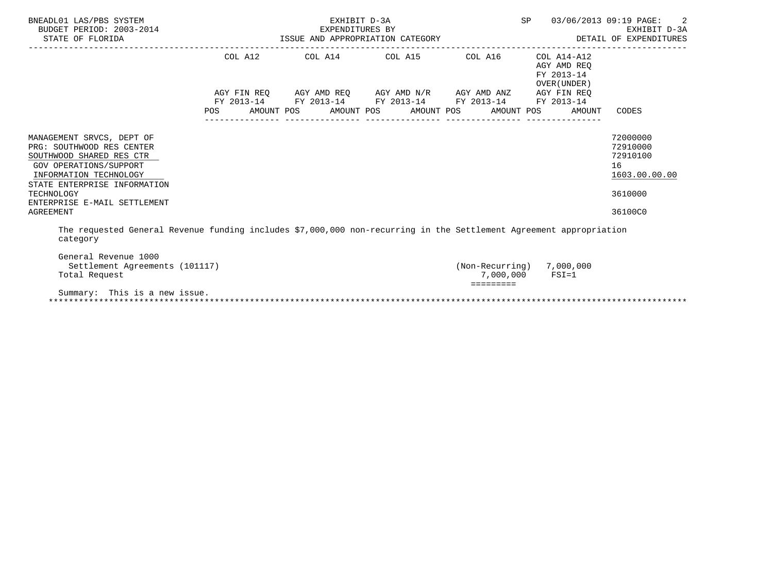| BNEADL01 LAS/PBS SYSTEM<br>BUDGET PERIOD: 2003-2014<br>STATE OF FLORIDA                                                                                                | 014 EXPENDITURES BY<br>ISSUE AND APPROPRIATION CATEGORY | EXHIBIT D-3A                                                                                                             | SP                    | 03/06/2013 09:19 PAGE: 2<br>EXHIBIT D-3A<br>DETAIL OF EXPENDITURES |                                                          |                                                         |
|------------------------------------------------------------------------------------------------------------------------------------------------------------------------|---------------------------------------------------------|--------------------------------------------------------------------------------------------------------------------------|-----------------------|--------------------------------------------------------------------|----------------------------------------------------------|---------------------------------------------------------|
|                                                                                                                                                                        | COL A12                                                 | COL A14 COL A15 COL A16                                                                                                  |                       |                                                                    | COL A14-A12<br>AGY AMD REO<br>FY 2013-14<br>OVER (UNDER) |                                                         |
|                                                                                                                                                                        | POS                                                     | AGY FIN REQ AGY AMD REQ AGY AMD N/R AGY AMD ANZ AGY FIN REQ<br>FY 2013-14 FY 2013-14 FY 2013-14 FY 2013-14<br>AMOUNT POS | AMOUNT POS AMOUNT POS |                                                                    | FY 2013-14<br>AMOUNT POS<br>AMOUNT                       | CODES                                                   |
| MANAGEMENT SRVCS, DEPT OF<br>PRG: SOUTHWOOD RES CENTER<br>SOUTHWOOD SHARED RES CTR<br>GOV OPERATIONS/SUPPORT<br>INFORMATION TECHNOLOGY<br>STATE ENTERPRISE INFORMATION |                                                         |                                                                                                                          |                       |                                                                    |                                                          | 72000000<br>72910000<br>72910100<br>16<br>1603.00.00.00 |
| TECHNOLOGY<br>ENTERPRISE E-MAIL SETTLEMENT<br>AGREEMENT                                                                                                                |                                                         |                                                                                                                          |                       |                                                                    |                                                          | 3610000<br>36100C0                                      |
| The requested General Revenue funding includes \$7,000,000 non-recurring in the Settlement Agreement appropriation                                                     |                                                         |                                                                                                                          |                       |                                                                    |                                                          |                                                         |

category

| Settlement Agreements (101117) | (Non-Recurring) | 7,000,000 |
|--------------------------------|-----------------|-----------|
| Total Request                  | 7,000,000       | $FSI = 1$ |
|                                |                 |           |
| Summary: This is a new issue.  |                 |           |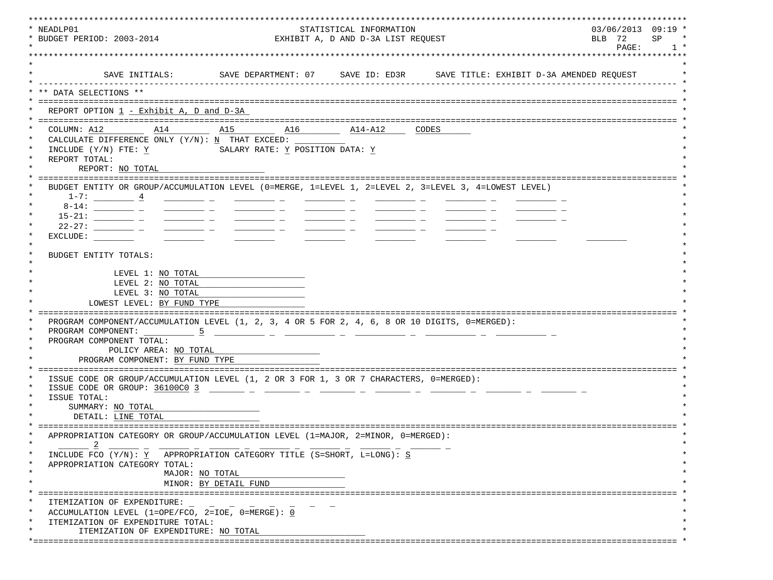| EXHIBIT A, D AND D-3A LIST REQUEST<br>PAGE:<br>1 <sup>1</sup><br>SAVE INITIALS:<br>DATA SELECTIONS **<br>REPORT OPTION 1 - Exhibit A, D and D-3A<br>COLUMN: A12<br>A15 A16<br>A14<br>$\frac{\text{A14}-\text{A12}}{}$<br>CODES<br>CALCULATE DIFFERENCE ONLY $(Y/N): N$ THAT EXCEED:<br>SALARY RATE: Y POSITION DATA: Y<br>INCLUDE (Y/N) FTE: Y<br>REPORT TOTAL:<br>REPORT: NO TOTAL<br>BUDGET ENTITY OR GROUP/ACCUMULATION LEVEL (0=MERGE, 1=LEVEL 1, 2=LEVEL 2, 3=LEVEL 3, 4=LOWEST LEVEL)<br>$1-7:$ $\underline{4}$<br>$\frac{1}{1-\frac{1}{2}}\left( \frac{1}{\sqrt{2}}\right) \left( \frac{1}{\sqrt{2}}\right) \left( \frac{1}{\sqrt{2}}\right) \left( \frac{1}{\sqrt{2}}\right) \left( \frac{1}{\sqrt{2}}\right) \left( \frac{1}{\sqrt{2}}\right) \left( \frac{1}{\sqrt{2}}\right) \left( \frac{1}{\sqrt{2}}\right) \left( \frac{1}{\sqrt{2}}\right) \left( \frac{1}{\sqrt{2}}\right) \left( \frac{1}{\sqrt{2}}\right) \left( \frac{1}{\sqrt{2}}\right) \left( \frac{1}{\sqrt{2}}\right$<br>$22-27$ : ___________________ _<br>$\frac{1}{2} \left( \frac{1}{2} \right) \left( \frac{1}{2} \right) \left( \frac{1}{2} \right) \left( \frac{1}{2} \right) \left( \frac{1}{2} \right) \left( \frac{1}{2} \right) \left( \frac{1}{2} \right) \left( \frac{1}{2} \right) \left( \frac{1}{2} \right) \left( \frac{1}{2} \right) \left( \frac{1}{2} \right) \left( \frac{1}{2} \right) \left( \frac{1}{2} \right) \left( \frac{1}{2} \right) \left( \frac{1}{2} \right) \left( \frac{1}{2} \right) \left( \frac$<br>EXCLUDE:<br>BUDGET ENTITY TOTALS:<br>LEVEL 1: NO TOTAL<br>LEVEL 2: NO TOTAL<br>LEVEL 3: NO TOTAL<br>LOWEST LEVEL: BY FUND TYPE<br>PROGRAM COMPONENT/ACCUMULATION LEVEL (1, 2, 3, 4 OR 5 FOR 2, 4, 6, 8 OR 10 DIGITS, 0=MERGED):<br>PROGRAM COMPONENT: 5<br>PROGRAM COMPONENT TOTAL:<br>POLICY AREA: NO TOTAL<br>PROGRAM COMPONENT: BY FUND TYPE<br>ISSUE CODE OR GROUP/ACCUMULATION LEVEL (1, 2 OR 3 FOR 1, 3 OR 7 CHARACTERS, 0=MERGED):<br>ISSUE CODE OR GROUP: 36100C0 3<br>ISSUE TOTAL:<br>SUMMARY: NO TOTAL<br>DETAIL: LINE TOTAL<br>APPROPRIATION CATEGORY OR GROUP/ACCUMULATION LEVEL (1=MAJOR, 2=MINOR, 0=MERGED):<br>INCLUDE FCO (Y/N): Y APPROPRIATION CATEGORY TITLE (S=SHORT, L=LONG): S<br>APPROPRIATION CATEGORY TOTAL:<br>MAJOR: NO TOTAL<br>MINOR: BY DETAIL FUND<br>ITEMIZATION OF EXPENDITURE:<br>ACCUMULATION LEVEL (1=OPE/FCO, 2=IOE, 0=MERGE): 0<br>ITEMIZATION OF EXPENDITURE TOTAL:<br>ITEMIZATION OF EXPENDITURE: NO TOTAL<br>*============== | * NEADLP01                 | STATISTICAL INFORMATION | $03/06/2013$ 09:19 * |
|-----------------------------------------------------------------------------------------------------------------------------------------------------------------------------------------------------------------------------------------------------------------------------------------------------------------------------------------------------------------------------------------------------------------------------------------------------------------------------------------------------------------------------------------------------------------------------------------------------------------------------------------------------------------------------------------------------------------------------------------------------------------------------------------------------------------------------------------------------------------------------------------------------------------------------------------------------------------------------------------------------------------------------------------------------------------------------------------------------------------------------------------------------------------------------------------------------------------------------------------------------------------------------------------------------------------------------------------------------------------------------------------------------------------------------------------------------------------------------------------------------------------------------------------------------------------------------------------------------------------------------------------------------------------------------------------------------------------------------------------------------------------------------------------------------------------------------------------------------------------------------------------------------------------------------------------------------------------------------------------------------------------------------------------------------------------------------------------------------------------------------------------------------------------------------------------------------------------------------------------------------------------------------------------------------------------------------------------------------------------------------------------------------------------------------------------------------------------------------------------|----------------------------|-------------------------|----------------------|
|                                                                                                                                                                                                                                                                                                                                                                                                                                                                                                                                                                                                                                                                                                                                                                                                                                                                                                                                                                                                                                                                                                                                                                                                                                                                                                                                                                                                                                                                                                                                                                                                                                                                                                                                                                                                                                                                                                                                                                                                                                                                                                                                                                                                                                                                                                                                                                                                                                                                                         | * BUDGET PERIOD: 2003-2014 |                         | BLB 72<br>SP         |
|                                                                                                                                                                                                                                                                                                                                                                                                                                                                                                                                                                                                                                                                                                                                                                                                                                                                                                                                                                                                                                                                                                                                                                                                                                                                                                                                                                                                                                                                                                                                                                                                                                                                                                                                                                                                                                                                                                                                                                                                                                                                                                                                                                                                                                                                                                                                                                                                                                                                                         |                            |                         |                      |
|                                                                                                                                                                                                                                                                                                                                                                                                                                                                                                                                                                                                                                                                                                                                                                                                                                                                                                                                                                                                                                                                                                                                                                                                                                                                                                                                                                                                                                                                                                                                                                                                                                                                                                                                                                                                                                                                                                                                                                                                                                                                                                                                                                                                                                                                                                                                                                                                                                                                                         |                            |                         |                      |
|                                                                                                                                                                                                                                                                                                                                                                                                                                                                                                                                                                                                                                                                                                                                                                                                                                                                                                                                                                                                                                                                                                                                                                                                                                                                                                                                                                                                                                                                                                                                                                                                                                                                                                                                                                                                                                                                                                                                                                                                                                                                                                                                                                                                                                                                                                                                                                                                                                                                                         |                            |                         |                      |
|                                                                                                                                                                                                                                                                                                                                                                                                                                                                                                                                                                                                                                                                                                                                                                                                                                                                                                                                                                                                                                                                                                                                                                                                                                                                                                                                                                                                                                                                                                                                                                                                                                                                                                                                                                                                                                                                                                                                                                                                                                                                                                                                                                                                                                                                                                                                                                                                                                                                                         |                            |                         |                      |
|                                                                                                                                                                                                                                                                                                                                                                                                                                                                                                                                                                                                                                                                                                                                                                                                                                                                                                                                                                                                                                                                                                                                                                                                                                                                                                                                                                                                                                                                                                                                                                                                                                                                                                                                                                                                                                                                                                                                                                                                                                                                                                                                                                                                                                                                                                                                                                                                                                                                                         |                            |                         |                      |
|                                                                                                                                                                                                                                                                                                                                                                                                                                                                                                                                                                                                                                                                                                                                                                                                                                                                                                                                                                                                                                                                                                                                                                                                                                                                                                                                                                                                                                                                                                                                                                                                                                                                                                                                                                                                                                                                                                                                                                                                                                                                                                                                                                                                                                                                                                                                                                                                                                                                                         |                            |                         |                      |
|                                                                                                                                                                                                                                                                                                                                                                                                                                                                                                                                                                                                                                                                                                                                                                                                                                                                                                                                                                                                                                                                                                                                                                                                                                                                                                                                                                                                                                                                                                                                                                                                                                                                                                                                                                                                                                                                                                                                                                                                                                                                                                                                                                                                                                                                                                                                                                                                                                                                                         |                            |                         |                      |
|                                                                                                                                                                                                                                                                                                                                                                                                                                                                                                                                                                                                                                                                                                                                                                                                                                                                                                                                                                                                                                                                                                                                                                                                                                                                                                                                                                                                                                                                                                                                                                                                                                                                                                                                                                                                                                                                                                                                                                                                                                                                                                                                                                                                                                                                                                                                                                                                                                                                                         |                            |                         |                      |
|                                                                                                                                                                                                                                                                                                                                                                                                                                                                                                                                                                                                                                                                                                                                                                                                                                                                                                                                                                                                                                                                                                                                                                                                                                                                                                                                                                                                                                                                                                                                                                                                                                                                                                                                                                                                                                                                                                                                                                                                                                                                                                                                                                                                                                                                                                                                                                                                                                                                                         | $\star$                    |                         |                      |
|                                                                                                                                                                                                                                                                                                                                                                                                                                                                                                                                                                                                                                                                                                                                                                                                                                                                                                                                                                                                                                                                                                                                                                                                                                                                                                                                                                                                                                                                                                                                                                                                                                                                                                                                                                                                                                                                                                                                                                                                                                                                                                                                                                                                                                                                                                                                                                                                                                                                                         |                            |                         |                      |
|                                                                                                                                                                                                                                                                                                                                                                                                                                                                                                                                                                                                                                                                                                                                                                                                                                                                                                                                                                                                                                                                                                                                                                                                                                                                                                                                                                                                                                                                                                                                                                                                                                                                                                                                                                                                                                                                                                                                                                                                                                                                                                                                                                                                                                                                                                                                                                                                                                                                                         |                            |                         |                      |
|                                                                                                                                                                                                                                                                                                                                                                                                                                                                                                                                                                                                                                                                                                                                                                                                                                                                                                                                                                                                                                                                                                                                                                                                                                                                                                                                                                                                                                                                                                                                                                                                                                                                                                                                                                                                                                                                                                                                                                                                                                                                                                                                                                                                                                                                                                                                                                                                                                                                                         |                            |                         |                      |
|                                                                                                                                                                                                                                                                                                                                                                                                                                                                                                                                                                                                                                                                                                                                                                                                                                                                                                                                                                                                                                                                                                                                                                                                                                                                                                                                                                                                                                                                                                                                                                                                                                                                                                                                                                                                                                                                                                                                                                                                                                                                                                                                                                                                                                                                                                                                                                                                                                                                                         |                            |                         |                      |
|                                                                                                                                                                                                                                                                                                                                                                                                                                                                                                                                                                                                                                                                                                                                                                                                                                                                                                                                                                                                                                                                                                                                                                                                                                                                                                                                                                                                                                                                                                                                                                                                                                                                                                                                                                                                                                                                                                                                                                                                                                                                                                                                                                                                                                                                                                                                                                                                                                                                                         |                            |                         |                      |
|                                                                                                                                                                                                                                                                                                                                                                                                                                                                                                                                                                                                                                                                                                                                                                                                                                                                                                                                                                                                                                                                                                                                                                                                                                                                                                                                                                                                                                                                                                                                                                                                                                                                                                                                                                                                                                                                                                                                                                                                                                                                                                                                                                                                                                                                                                                                                                                                                                                                                         |                            |                         |                      |
|                                                                                                                                                                                                                                                                                                                                                                                                                                                                                                                                                                                                                                                                                                                                                                                                                                                                                                                                                                                                                                                                                                                                                                                                                                                                                                                                                                                                                                                                                                                                                                                                                                                                                                                                                                                                                                                                                                                                                                                                                                                                                                                                                                                                                                                                                                                                                                                                                                                                                         |                            |                         |                      |
|                                                                                                                                                                                                                                                                                                                                                                                                                                                                                                                                                                                                                                                                                                                                                                                                                                                                                                                                                                                                                                                                                                                                                                                                                                                                                                                                                                                                                                                                                                                                                                                                                                                                                                                                                                                                                                                                                                                                                                                                                                                                                                                                                                                                                                                                                                                                                                                                                                                                                         |                            |                         |                      |
|                                                                                                                                                                                                                                                                                                                                                                                                                                                                                                                                                                                                                                                                                                                                                                                                                                                                                                                                                                                                                                                                                                                                                                                                                                                                                                                                                                                                                                                                                                                                                                                                                                                                                                                                                                                                                                                                                                                                                                                                                                                                                                                                                                                                                                                                                                                                                                                                                                                                                         |                            |                         |                      |
|                                                                                                                                                                                                                                                                                                                                                                                                                                                                                                                                                                                                                                                                                                                                                                                                                                                                                                                                                                                                                                                                                                                                                                                                                                                                                                                                                                                                                                                                                                                                                                                                                                                                                                                                                                                                                                                                                                                                                                                                                                                                                                                                                                                                                                                                                                                                                                                                                                                                                         |                            |                         |                      |
|                                                                                                                                                                                                                                                                                                                                                                                                                                                                                                                                                                                                                                                                                                                                                                                                                                                                                                                                                                                                                                                                                                                                                                                                                                                                                                                                                                                                                                                                                                                                                                                                                                                                                                                                                                                                                                                                                                                                                                                                                                                                                                                                                                                                                                                                                                                                                                                                                                                                                         |                            |                         |                      |
|                                                                                                                                                                                                                                                                                                                                                                                                                                                                                                                                                                                                                                                                                                                                                                                                                                                                                                                                                                                                                                                                                                                                                                                                                                                                                                                                                                                                                                                                                                                                                                                                                                                                                                                                                                                                                                                                                                                                                                                                                                                                                                                                                                                                                                                                                                                                                                                                                                                                                         |                            |                         |                      |
|                                                                                                                                                                                                                                                                                                                                                                                                                                                                                                                                                                                                                                                                                                                                                                                                                                                                                                                                                                                                                                                                                                                                                                                                                                                                                                                                                                                                                                                                                                                                                                                                                                                                                                                                                                                                                                                                                                                                                                                                                                                                                                                                                                                                                                                                                                                                                                                                                                                                                         |                            |                         |                      |
|                                                                                                                                                                                                                                                                                                                                                                                                                                                                                                                                                                                                                                                                                                                                                                                                                                                                                                                                                                                                                                                                                                                                                                                                                                                                                                                                                                                                                                                                                                                                                                                                                                                                                                                                                                                                                                                                                                                                                                                                                                                                                                                                                                                                                                                                                                                                                                                                                                                                                         |                            |                         |                      |
|                                                                                                                                                                                                                                                                                                                                                                                                                                                                                                                                                                                                                                                                                                                                                                                                                                                                                                                                                                                                                                                                                                                                                                                                                                                                                                                                                                                                                                                                                                                                                                                                                                                                                                                                                                                                                                                                                                                                                                                                                                                                                                                                                                                                                                                                                                                                                                                                                                                                                         |                            |                         |                      |
|                                                                                                                                                                                                                                                                                                                                                                                                                                                                                                                                                                                                                                                                                                                                                                                                                                                                                                                                                                                                                                                                                                                                                                                                                                                                                                                                                                                                                                                                                                                                                                                                                                                                                                                                                                                                                                                                                                                                                                                                                                                                                                                                                                                                                                                                                                                                                                                                                                                                                         |                            |                         |                      |
|                                                                                                                                                                                                                                                                                                                                                                                                                                                                                                                                                                                                                                                                                                                                                                                                                                                                                                                                                                                                                                                                                                                                                                                                                                                                                                                                                                                                                                                                                                                                                                                                                                                                                                                                                                                                                                                                                                                                                                                                                                                                                                                                                                                                                                                                                                                                                                                                                                                                                         |                            |                         |                      |
|                                                                                                                                                                                                                                                                                                                                                                                                                                                                                                                                                                                                                                                                                                                                                                                                                                                                                                                                                                                                                                                                                                                                                                                                                                                                                                                                                                                                                                                                                                                                                                                                                                                                                                                                                                                                                                                                                                                                                                                                                                                                                                                                                                                                                                                                                                                                                                                                                                                                                         |                            |                         |                      |
|                                                                                                                                                                                                                                                                                                                                                                                                                                                                                                                                                                                                                                                                                                                                                                                                                                                                                                                                                                                                                                                                                                                                                                                                                                                                                                                                                                                                                                                                                                                                                                                                                                                                                                                                                                                                                                                                                                                                                                                                                                                                                                                                                                                                                                                                                                                                                                                                                                                                                         |                            |                         |                      |
|                                                                                                                                                                                                                                                                                                                                                                                                                                                                                                                                                                                                                                                                                                                                                                                                                                                                                                                                                                                                                                                                                                                                                                                                                                                                                                                                                                                                                                                                                                                                                                                                                                                                                                                                                                                                                                                                                                                                                                                                                                                                                                                                                                                                                                                                                                                                                                                                                                                                                         |                            |                         |                      |
|                                                                                                                                                                                                                                                                                                                                                                                                                                                                                                                                                                                                                                                                                                                                                                                                                                                                                                                                                                                                                                                                                                                                                                                                                                                                                                                                                                                                                                                                                                                                                                                                                                                                                                                                                                                                                                                                                                                                                                                                                                                                                                                                                                                                                                                                                                                                                                                                                                                                                         |                            |                         |                      |
|                                                                                                                                                                                                                                                                                                                                                                                                                                                                                                                                                                                                                                                                                                                                                                                                                                                                                                                                                                                                                                                                                                                                                                                                                                                                                                                                                                                                                                                                                                                                                                                                                                                                                                                                                                                                                                                                                                                                                                                                                                                                                                                                                                                                                                                                                                                                                                                                                                                                                         |                            |                         |                      |
|                                                                                                                                                                                                                                                                                                                                                                                                                                                                                                                                                                                                                                                                                                                                                                                                                                                                                                                                                                                                                                                                                                                                                                                                                                                                                                                                                                                                                                                                                                                                                                                                                                                                                                                                                                                                                                                                                                                                                                                                                                                                                                                                                                                                                                                                                                                                                                                                                                                                                         |                            |                         |                      |
|                                                                                                                                                                                                                                                                                                                                                                                                                                                                                                                                                                                                                                                                                                                                                                                                                                                                                                                                                                                                                                                                                                                                                                                                                                                                                                                                                                                                                                                                                                                                                                                                                                                                                                                                                                                                                                                                                                                                                                                                                                                                                                                                                                                                                                                                                                                                                                                                                                                                                         |                            |                         |                      |
|                                                                                                                                                                                                                                                                                                                                                                                                                                                                                                                                                                                                                                                                                                                                                                                                                                                                                                                                                                                                                                                                                                                                                                                                                                                                                                                                                                                                                                                                                                                                                                                                                                                                                                                                                                                                                                                                                                                                                                                                                                                                                                                                                                                                                                                                                                                                                                                                                                                                                         |                            |                         |                      |
|                                                                                                                                                                                                                                                                                                                                                                                                                                                                                                                                                                                                                                                                                                                                                                                                                                                                                                                                                                                                                                                                                                                                                                                                                                                                                                                                                                                                                                                                                                                                                                                                                                                                                                                                                                                                                                                                                                                                                                                                                                                                                                                                                                                                                                                                                                                                                                                                                                                                                         |                            |                         |                      |
|                                                                                                                                                                                                                                                                                                                                                                                                                                                                                                                                                                                                                                                                                                                                                                                                                                                                                                                                                                                                                                                                                                                                                                                                                                                                                                                                                                                                                                                                                                                                                                                                                                                                                                                                                                                                                                                                                                                                                                                                                                                                                                                                                                                                                                                                                                                                                                                                                                                                                         |                            |                         |                      |
|                                                                                                                                                                                                                                                                                                                                                                                                                                                                                                                                                                                                                                                                                                                                                                                                                                                                                                                                                                                                                                                                                                                                                                                                                                                                                                                                                                                                                                                                                                                                                                                                                                                                                                                                                                                                                                                                                                                                                                                                                                                                                                                                                                                                                                                                                                                                                                                                                                                                                         |                            |                         |                      |
|                                                                                                                                                                                                                                                                                                                                                                                                                                                                                                                                                                                                                                                                                                                                                                                                                                                                                                                                                                                                                                                                                                                                                                                                                                                                                                                                                                                                                                                                                                                                                                                                                                                                                                                                                                                                                                                                                                                                                                                                                                                                                                                                                                                                                                                                                                                                                                                                                                                                                         |                            |                         |                      |
|                                                                                                                                                                                                                                                                                                                                                                                                                                                                                                                                                                                                                                                                                                                                                                                                                                                                                                                                                                                                                                                                                                                                                                                                                                                                                                                                                                                                                                                                                                                                                                                                                                                                                                                                                                                                                                                                                                                                                                                                                                                                                                                                                                                                                                                                                                                                                                                                                                                                                         |                            |                         |                      |
|                                                                                                                                                                                                                                                                                                                                                                                                                                                                                                                                                                                                                                                                                                                                                                                                                                                                                                                                                                                                                                                                                                                                                                                                                                                                                                                                                                                                                                                                                                                                                                                                                                                                                                                                                                                                                                                                                                                                                                                                                                                                                                                                                                                                                                                                                                                                                                                                                                                                                         |                            |                         |                      |
|                                                                                                                                                                                                                                                                                                                                                                                                                                                                                                                                                                                                                                                                                                                                                                                                                                                                                                                                                                                                                                                                                                                                                                                                                                                                                                                                                                                                                                                                                                                                                                                                                                                                                                                                                                                                                                                                                                                                                                                                                                                                                                                                                                                                                                                                                                                                                                                                                                                                                         | $\star$                    |                         |                      |
|                                                                                                                                                                                                                                                                                                                                                                                                                                                                                                                                                                                                                                                                                                                                                                                                                                                                                                                                                                                                                                                                                                                                                                                                                                                                                                                                                                                                                                                                                                                                                                                                                                                                                                                                                                                                                                                                                                                                                                                                                                                                                                                                                                                                                                                                                                                                                                                                                                                                                         |                            |                         |                      |
|                                                                                                                                                                                                                                                                                                                                                                                                                                                                                                                                                                                                                                                                                                                                                                                                                                                                                                                                                                                                                                                                                                                                                                                                                                                                                                                                                                                                                                                                                                                                                                                                                                                                                                                                                                                                                                                                                                                                                                                                                                                                                                                                                                                                                                                                                                                                                                                                                                                                                         |                            |                         |                      |
|                                                                                                                                                                                                                                                                                                                                                                                                                                                                                                                                                                                                                                                                                                                                                                                                                                                                                                                                                                                                                                                                                                                                                                                                                                                                                                                                                                                                                                                                                                                                                                                                                                                                                                                                                                                                                                                                                                                                                                                                                                                                                                                                                                                                                                                                                                                                                                                                                                                                                         | $\star$                    |                         |                      |
|                                                                                                                                                                                                                                                                                                                                                                                                                                                                                                                                                                                                                                                                                                                                                                                                                                                                                                                                                                                                                                                                                                                                                                                                                                                                                                                                                                                                                                                                                                                                                                                                                                                                                                                                                                                                                                                                                                                                                                                                                                                                                                                                                                                                                                                                                                                                                                                                                                                                                         | $\ast$                     |                         |                      |
|                                                                                                                                                                                                                                                                                                                                                                                                                                                                                                                                                                                                                                                                                                                                                                                                                                                                                                                                                                                                                                                                                                                                                                                                                                                                                                                                                                                                                                                                                                                                                                                                                                                                                                                                                                                                                                                                                                                                                                                                                                                                                                                                                                                                                                                                                                                                                                                                                                                                                         | $\ast$                     |                         |                      |
|                                                                                                                                                                                                                                                                                                                                                                                                                                                                                                                                                                                                                                                                                                                                                                                                                                                                                                                                                                                                                                                                                                                                                                                                                                                                                                                                                                                                                                                                                                                                                                                                                                                                                                                                                                                                                                                                                                                                                                                                                                                                                                                                                                                                                                                                                                                                                                                                                                                                                         |                            |                         |                      |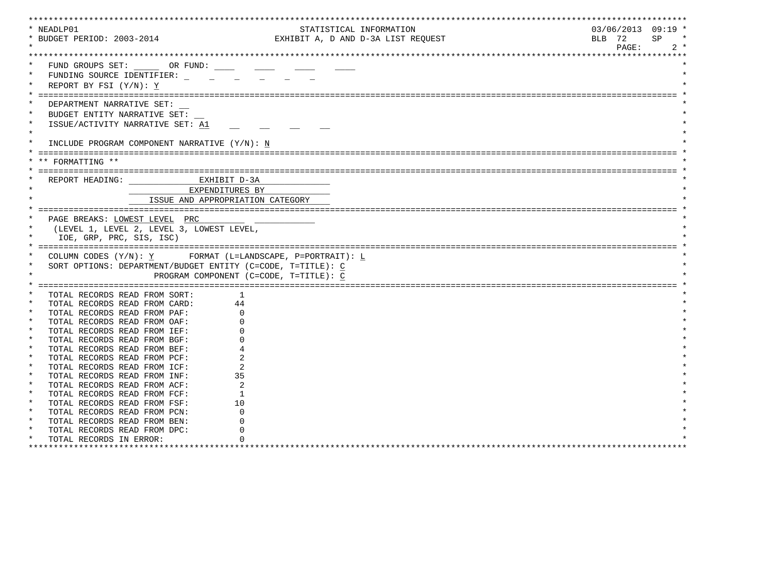|         | * NEADLP01                                                  | STATISTICAL INFORMATION            |        |       | $03/06/2013$ 09:19 * |
|---------|-------------------------------------------------------------|------------------------------------|--------|-------|----------------------|
|         | * BUDGET PERIOD: 2003-2014                                  | EXHIBIT A, D AND D-3A LIST REQUEST | BLB 72 |       | SP<br>$\star$        |
|         |                                                             |                                    |        | PAGE: | $2 *$                |
|         |                                                             |                                    |        |       |                      |
|         | FUND GROUPS SET: _______ OR FUND: _____                     |                                    |        |       |                      |
|         |                                                             |                                    |        |       |                      |
|         | FUNDING SOURCE IDENTIFIER:                                  |                                    |        |       |                      |
|         | REPORT BY FSI (Y/N): Y                                      |                                    |        |       |                      |
|         |                                                             |                                    |        |       |                      |
|         | DEPARTMENT NARRATIVE SET:                                   |                                    |        |       |                      |
| $\ast$  | BUDGET ENTITY NARRATIVE SET:                                |                                    |        |       |                      |
|         | ISSUE/ACTIVITY NARRATIVE SET: A1                            |                                    |        |       |                      |
| $\star$ |                                                             |                                    |        |       |                      |
|         | INCLUDE PROGRAM COMPONENT NARRATIVE (Y/N): N                |                                    |        |       |                      |
|         |                                                             |                                    |        |       |                      |
|         |                                                             |                                    |        |       |                      |
|         | ** FORMATTING **                                            |                                    |        |       |                      |
|         |                                                             |                                    |        |       |                      |
|         | REPORT HEADING: EXHIBIT D-3A                                |                                    |        |       |                      |
|         | EXPENDITURES BY                                             |                                    |        |       |                      |
|         | ISSUE AND APPROPRIATION CATEGORY                            |                                    |        |       |                      |
|         |                                                             |                                    |        |       |                      |
|         | PAGE BREAKS: LOWEST LEVEL PRC                               |                                    |        |       |                      |
|         | (LEVEL 1, LEVEL 2, LEVEL 3, LOWEST LEVEL,                   |                                    |        |       |                      |
|         | IOE, GRP, PRC, SIS, ISC)                                    |                                    |        |       |                      |
|         |                                                             |                                    |        |       |                      |
|         |                                                             |                                    |        |       |                      |
|         | COLUMN CODES $(Y/N): Y$ FORMAT (L=LANDSCAPE, P=PORTRAIT): L |                                    |        |       |                      |
|         | SORT OPTIONS: DEPARTMENT/BUDGET ENTITY (C=CODE, T=TITLE): C |                                    |        |       |                      |
|         | PROGRAM COMPONENT (C=CODE, T=TITLE): C                      |                                    |        |       |                      |
|         |                                                             |                                    |        |       |                      |
| $\star$ | TOTAL RECORDS READ FROM SORT:<br>-1                         |                                    |        |       |                      |
|         | TOTAL RECORDS READ FROM CARD:<br>44                         |                                    |        |       |                      |
|         | TOTAL RECORDS READ FROM PAF:                                |                                    |        |       |                      |
|         | TOTAL RECORDS READ FROM OAF:                                |                                    |        |       |                      |
| $\star$ | TOTAL RECORDS READ FROM IEF:                                |                                    |        |       |                      |
| $\star$ | TOTAL RECORDS READ FROM BGF:                                |                                    |        |       |                      |
| $\star$ | TOTAL RECORDS READ FROM BEF:                                |                                    |        |       |                      |
|         | TOTAL RECORDS READ FROM PCF:                                |                                    |        |       |                      |
| $\star$ | TOTAL RECORDS READ FROM ICF:                                |                                    |        |       |                      |
| $\star$ | 35                                                          |                                    |        |       |                      |
| $\star$ | TOTAL RECORDS READ FROM INF:                                |                                    |        |       |                      |
|         | TOTAL RECORDS READ FROM ACF:                                |                                    |        |       |                      |
| $\ast$  | TOTAL RECORDS READ FROM FCF:<br>-1                          |                                    |        |       |                      |
| $\star$ | TOTAL RECORDS READ FROM FSF:<br>10                          |                                    |        |       |                      |
| $\star$ | TOTAL RECORDS READ FROM PCN:                                |                                    |        |       |                      |
| $\star$ | TOTAL RECORDS READ FROM BEN:                                |                                    |        |       |                      |
| $\ast$  | TOTAL RECORDS READ FROM DPC:                                |                                    |        |       |                      |
|         | TOTAL RECORDS IN ERROR:                                     |                                    |        |       |                      |
|         |                                                             |                                    |        |       |                      |